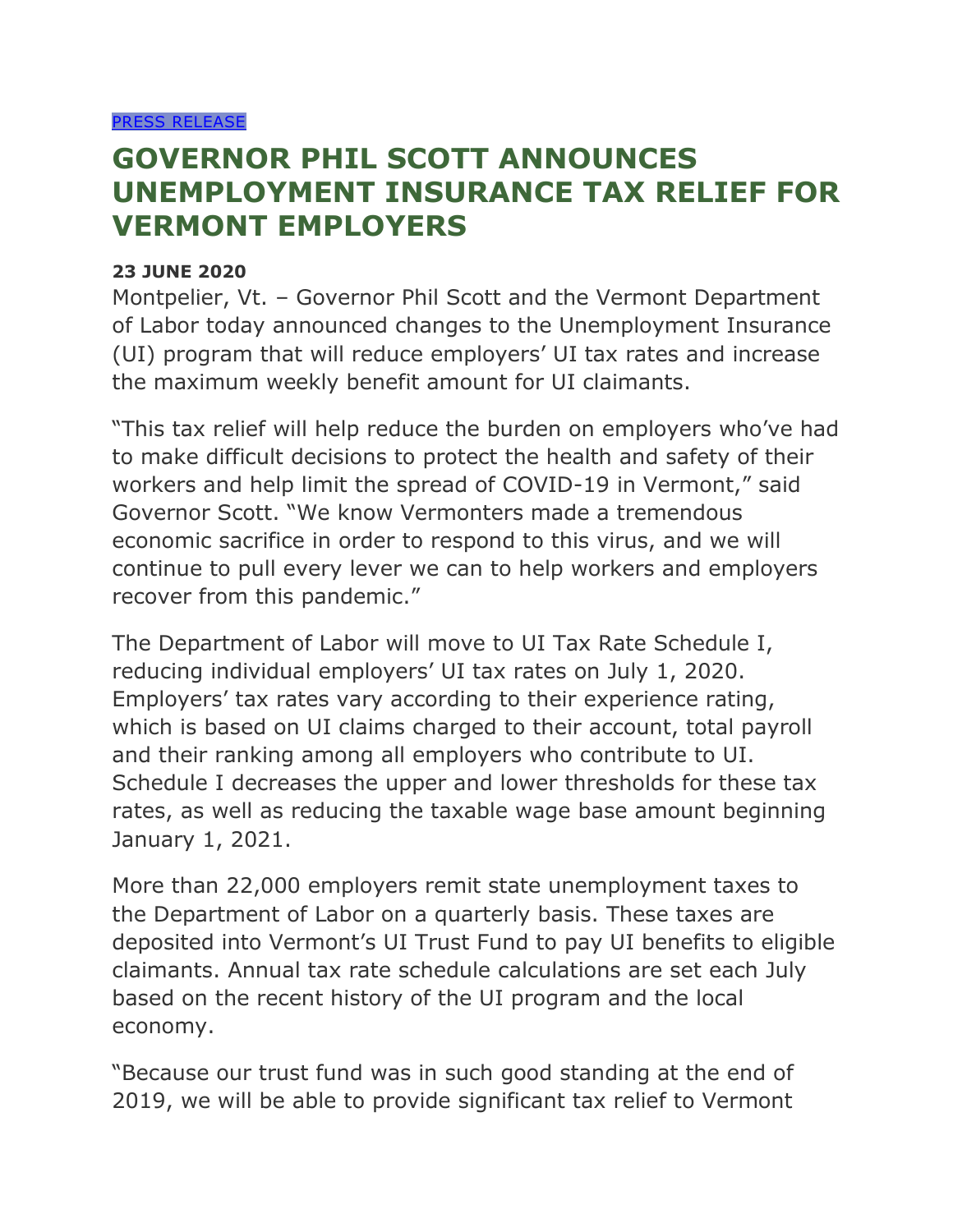## **GOVERNOR PHIL SCOTT ANNOUNCES UNEMPLOYMENT INSURANCE TAX RELIEF FOR VERMONT EMPLOYERS**

## **23 JUNE 2020**

Montpelier, Vt. – Governor Phil Scott and the Vermont Department of Labor today announced changes to the Unemployment Insurance (UI) program that will reduce employers' UI tax rates and increase the maximum weekly benefit amount for UI claimants.

"This tax relief will help reduce the burden on employers who've had to make difficult decisions to protect the health and safety of their workers and help limit the spread of COVID-19 in Vermont," said Governor Scott. "We know Vermonters made a tremendous economic sacrifice in order to respond to this virus, and we will continue to pull every lever we can to help workers and employers recover from this pandemic."

The Department of Labor will move to UI Tax Rate Schedule I, reducing individual employers' UI tax rates on July 1, 2020. Employers' tax rates vary according to their experience rating, which is based on UI claims charged to their account, total payroll and their ranking among all employers who contribute to UI. Schedule I decreases the upper and lower thresholds for these tax rates, as well as reducing the taxable wage base amount beginning January 1, 2021.

More than 22,000 employers remit state unemployment taxes to the Department of Labor on a quarterly basis. These taxes are deposited into Vermont's UI Trust Fund to pay UI benefits to eligible claimants. Annual tax rate schedule calculations are set each July based on the recent history of the UI program and the local economy.

"Because our trust fund was in such good standing at the end of 2019, we will be able to provide significant tax relief to Vermont